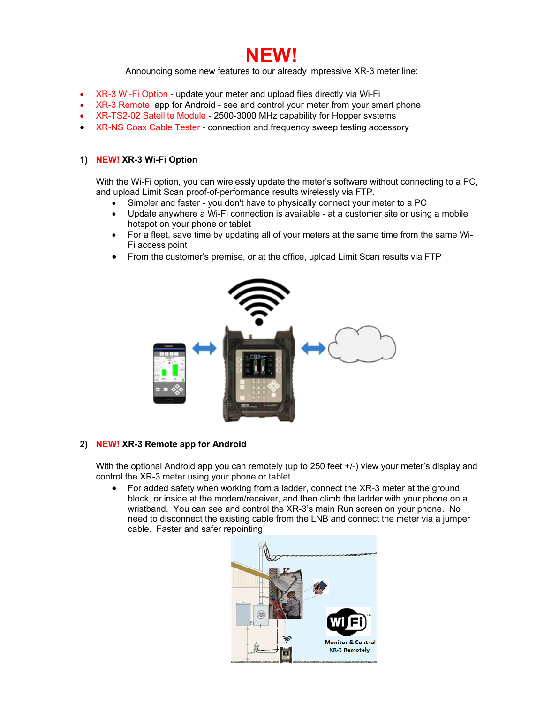

Announcing some new features to our already impressive XR-3 meter line:

- XR-3 Wi-Fi Option update your meter and upload files directly via Wi-Fi
- XR-3 Remote app for Android see and control your meter from your smart phone
- XR-TS2-02 Satellite Module 2500-3000 MHz capability for Hopper systems
- XR-NS Coax Cable Tester connection and frequency sweep testing accessory

### **1) NEW! XR-3 Wi-Fi Option**

With the Wi-Fi option, you can wirelessly update the meter's software without connecting to a PC, and upload Limit Scan proof-of-performance results wirelessly via FTP.

- Simpler and faster you don't have to physically connect your meter to a PC
- Update anywhere a Wi-Fi connection is available at a customer site or using a mobile hotspot on your phone or tablet
- For a fleet, save time by updating all of your meters at the same time from the same Wi-Fi access point
- From the customer's premise, or at the office, upload Limit Scan results via FTP



### **2) NEW! XR-3 Remote app for Android**

With the optional Android app you can remotely (up to 250 feet  $+/-$ ) view your meter's display and control the XR-3 meter using your phone or tablet.

• For added safety when working from a ladder, connect the XR-3 meter at the ground block, or inside at the modem/receiver, and then climb the ladder with your phone on a wristband. You can see and control the XR-3's main Run screen on your phone. No need to disconnect the existing cable from the LNB and connect the meter via a jumper cable. Faster and safer repointing!

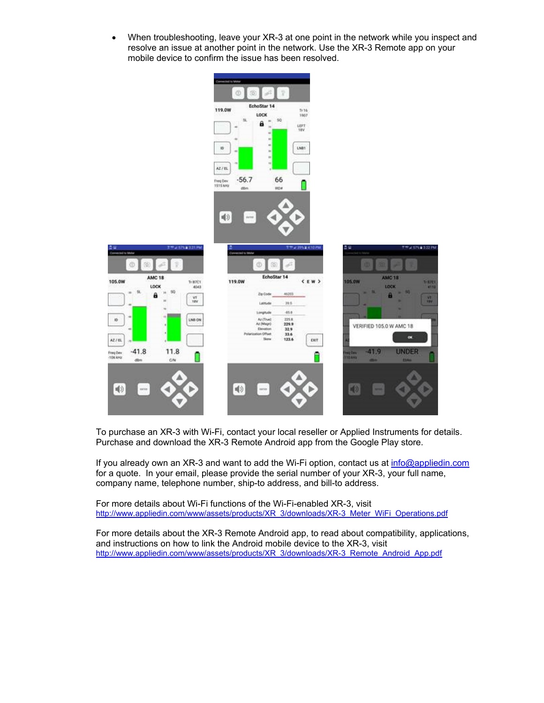When troubleshooting, leave your XR-3 at one point in the network while you inspect and resolve an issue at another point in the network. Use the XR-3 Remote app on your mobile device to confirm the issue has been resolved.



To purchase an XR-3 with Wi-Fi, contact your local reseller or Applied Instruments for details. Purchase and download the XR-3 Remote Android app from the Google Play store.

If you already own an XR-3 and want to add the Wi-Fi option, contact us at info@appliedin.com for a quote. In your email, please provide the serial number of your XR-3, your full name, company name, telephone number, ship-to address, and bill-to address.

For more details about Wi-Fi functions of the Wi-Fi-enabled XR-3, visit http://www.appliedin.com/www/assets/products/XR\_3/downloads/XR-3\_Meter\_WiFi\_Operations.pdf

For more details about the XR-3 Remote Android app, to read about compatibility, applications, and instructions on how to link the Android mobile device to the XR-3, visit http://www.appliedin.com/www/assets/products/XR\_3/downloads/XR-3\_Remote\_Android\_App.pdf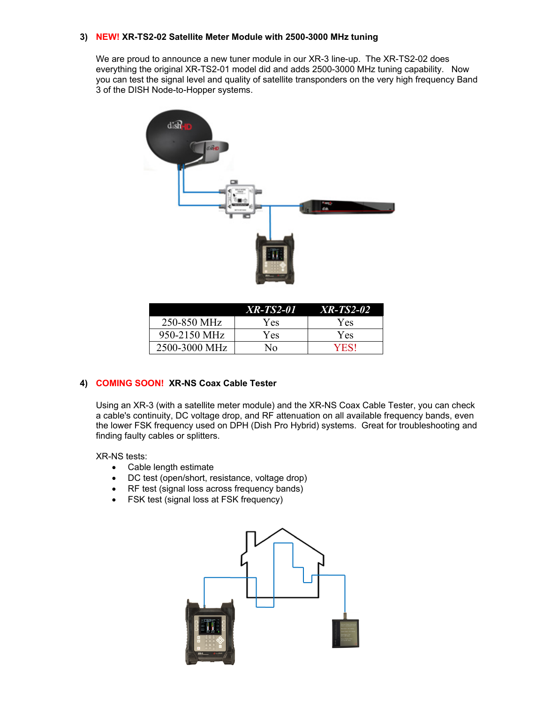## **3) NEW! XR-TS2-02 Satellite Meter Module with 2500-3000 MHz tuning**

We are proud to announce a new tuner module in our XR-3 line-up. The XR-TS2-02 does everything the original XR-TS2-01 model did and adds 2500-3000 MHz tuning capability. Now you can test the signal level and quality of satellite transponders on the very high frequency Band 3 of the DISH Node-to-Hopper systems.



|               | XR-TS2-01 | <i>XR-TS2-02</i> |
|---------------|-----------|------------------|
| 250-850 MHz   | Yes       | Yes              |
| 950-2150 MHz  | Yes       | Yes              |
| 2500-3000 MHz | Nο        | YESI             |

# **4) COMING SOON! XR-NS Coax Cable Tester**

Using an XR-3 (with a satellite meter module) and the XR-NS Coax Cable Tester, you can check a cable's continuity, DC voltage drop, and RF attenuation on all available frequency bands, even the lower FSK frequency used on DPH (Dish Pro Hybrid) systems. Great for troubleshooting and finding faulty cables or splitters.

XR-NS tests:

- Cable length estimate
- DC test (open/short, resistance, voltage drop)
- RF test (signal loss across frequency bands)
- FSK test (signal loss at FSK frequency)